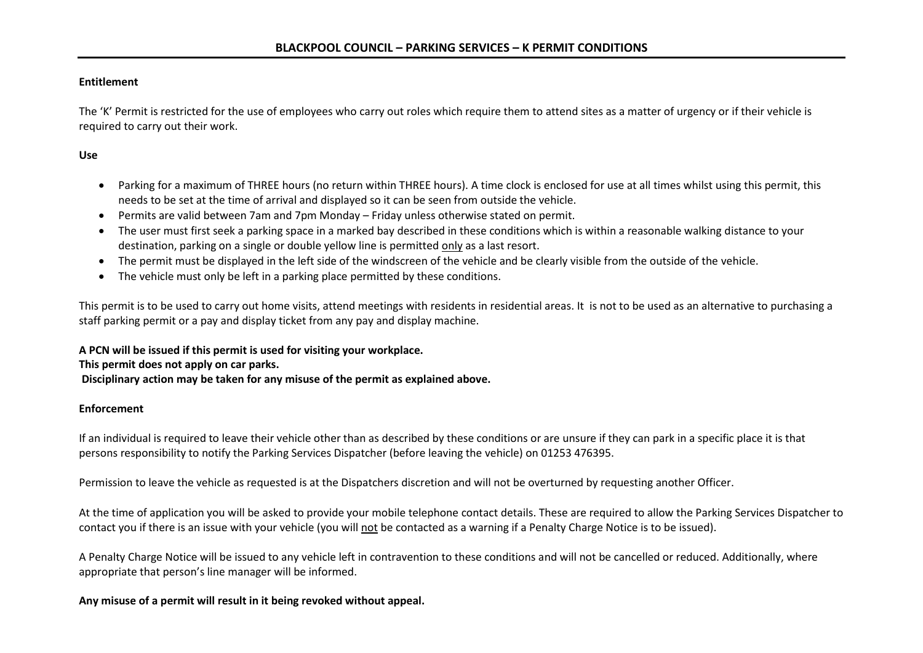### **Entitlement**

The 'K' Permit is restricted for the use of employees who carry out roles which require them to attend sites as a matter of urgency or if their vehicle is required to carry out their work.

## **Use**

- Parking for a maximum of THREE hours (no return within THREE hours). A time clock is enclosed for use at all times whilst using this permit, this needs to be set at the time of arrival and displayed so it can be seen from outside the vehicle.
- Permits are valid between 7am and 7pm Monday Friday unless otherwise stated on permit.
- The user must first seek a parking space in a marked bay described in these conditions which is within a reasonable walking distance to your destination, parking on a single or double yellow line is permitted only as a last resort.
- The permit must be displayed in the left side of the windscreen of the vehicle and be clearly visible from the outside of the vehicle.
- The vehicle must only be left in a parking place permitted by these conditions.

This permit is to be used to carry out home visits, attend meetings with residents in residential areas. It is not to be used as an alternative to purchasing a staff parking permit or a pay and display ticket from any pay and display machine.

**A PCN will be issued if this permit is used for visiting your workplace. This permit does not apply on car parks. Disciplinary action may be taken for any misuse of the permit as explained above.**

#### **Enforcement**

If an individual is required to leave their vehicle other than as described by these conditions or are unsure if they can park in a specific place it is that persons responsibility to notify the Parking Services Dispatcher (before leaving the vehicle) on 01253 476395.

Permission to leave the vehicle as requested is at the Dispatchers discretion and will not be overturned by requesting another Officer.

At the time of application you will be asked to provide your mobile telephone contact details. These are required to allow the Parking Services Dispatcher to contact you if there is an issue with your vehicle (you will not be contacted as a warning if a Penalty Charge Notice is to be issued).

A Penalty Charge Notice will be issued to any vehicle left in contravention to these conditions and will not be cancelled or reduced. Additionally, where appropriate that person's line manager will be informed.

## **Any misuse of a permit will result in it being revoked without appeal.**